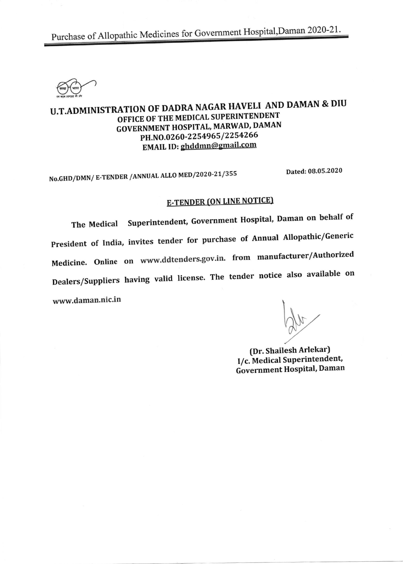Purchase of Allopathic Medicines for Government Hospital, Daman 2020-21.



## U.T.ADMINISTRATION OF DADRA NAGAR HAVELI AND DAMAN & DIU OFFICE OF THE MEDICAL SUPERINTENDENT GOVERNMENT HOSPITAL, MARWAD, DAMAN PH.NO.0260-2254965/2254266 EMAIL ID: ghddmn@gmail.com

No.GHD/DMN/ E-TENDER /ANNUAL ALLO MED/2020-21/355 Dated: 08.05.2020

# **E-TENDER (ON LINE NOTICE)**

The Medical Superintendent, Government Hospital, Daman on behalf of President of India, invites tender for purchase of Annual Allopathic/Generic Medicine. online on www,ddtenders.gov,in. from manufacturer/Authorized Dealers/Suppliers having valid license. The tender notice also available on www.daman.nic.in

(Dr. Shailesh Arlekar) I/c. Medical Superintendent, Government Hospital, Daman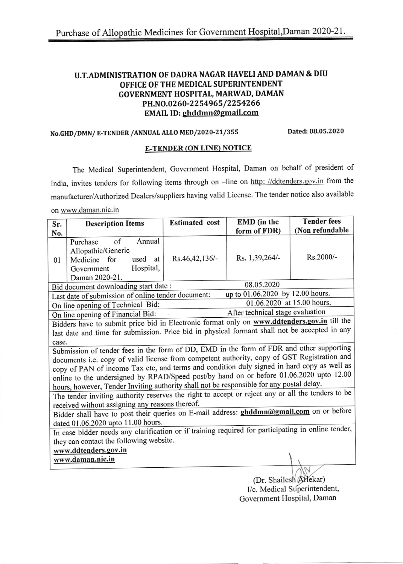#### U.T.ADMINISTRATION OF DADRA NAGAR HAVELI AND DAMAN & DIU OFFICE OF THE MEDICAL SUPERINTENDENT GOVERNMENT HOSPITAI, MARWAD, DAMAN PH.NO.0260-2254965/2254266 EMAIL ID: ghddmn@gmail.com

#### No.GHD/DMN/ E-TENDER /ANNUAL ALL0 MED /2o2o-2t/3SS Dated: 08.05.2020

#### E-TENDER (ON LINE) NOTICE

The Medical Superintendent, Government Hospital, Daman on behalf of president of India, invites tenders for following items through on -line on http: //ddtenders.gov.in from the manufacturer/Authorized Dealers/suppliers having valid License. The tender notice also available on www.daman.nic.in

| Sr.                                                                                                | <b>Description Items</b>                                                                                                  | <b>Estimated</b> cost | EMD (in the    | <b>Tender fees</b> |  |  |  |
|----------------------------------------------------------------------------------------------------|---------------------------------------------------------------------------------------------------------------------------|-----------------------|----------------|--------------------|--|--|--|
| No.                                                                                                |                                                                                                                           |                       | form of FDR)   | (Non refundable    |  |  |  |
| 01                                                                                                 | Annual<br>of<br>Purchase<br>Allopathic/Generic<br>used<br>Medicine for<br>at<br>Hospital,<br>Government<br>Daman 2020-21. | Rs.46,42,136/-        | Rs. 1,39,264/- | Rs.2000/-          |  |  |  |
|                                                                                                    | 08.05.2020<br>Bid document downloading start date :                                                                       |                       |                |                    |  |  |  |
| up to 01.06.2020 by 12.00 hours.<br>Last date of submission of online tender document:             |                                                                                                                           |                       |                |                    |  |  |  |
|                                                                                                    | 01.06.2020 at 15.00 hours.<br>On line opening of Technical Bid:                                                           |                       |                |                    |  |  |  |
| After technical stage evaluation<br>On line opening of Financial Bid:                              |                                                                                                                           |                       |                |                    |  |  |  |
| Bidders have to submit price bid in Electronic format only on www.ddtenders.gov.in till the        |                                                                                                                           |                       |                |                    |  |  |  |
| last date and time for submission. Price bid in physical formant shall not be accepted in any      |                                                                                                                           |                       |                |                    |  |  |  |
| case.                                                                                              |                                                                                                                           |                       |                |                    |  |  |  |
| Submission of tender fees in the form of DD, EMD in the form of FDR and other supporting           |                                                                                                                           |                       |                |                    |  |  |  |
|                                                                                                    | documents i.e. copy of valid license from competent authority, copy of GST Registration and                               |                       |                |                    |  |  |  |
| copy of PAN of income Tax etc, and terms and condition duly signed in hard copy as well as         |                                                                                                                           |                       |                |                    |  |  |  |
| online to the undersigned by RPAD/Speed post/by hand on or before 01.06.2020 upto 12.00            |                                                                                                                           |                       |                |                    |  |  |  |
| hours, however, Tender Inviting authority shall not be responsible for any postal delay.           |                                                                                                                           |                       |                |                    |  |  |  |
| The tender inviting authority reserves the right to accept or reject any or all the tenders to be  |                                                                                                                           |                       |                |                    |  |  |  |
| received without assigning any reasons thereof.                                                    |                                                                                                                           |                       |                |                    |  |  |  |
| Bidder shall have to post their queries on E-mail address: ghddmn@gmail.com on or before           |                                                                                                                           |                       |                |                    |  |  |  |
| dated 01.06.2020 upto 11.00 hours.                                                                 |                                                                                                                           |                       |                |                    |  |  |  |
| In case bidder needs any clarification or if training required for participating in online tender, |                                                                                                                           |                       |                |                    |  |  |  |
| they can contact the following website.                                                            |                                                                                                                           |                       |                |                    |  |  |  |
| www.ddtenders.gov.in                                                                               |                                                                                                                           |                       |                |                    |  |  |  |
|                                                                                                    | www.daman.nic.in                                                                                                          |                       |                |                    |  |  |  |
|                                                                                                    |                                                                                                                           |                       |                |                    |  |  |  |

(Dr. Shailesh Arlekar) I/c. Medical Superintendent, Govemment Hospital, Daman